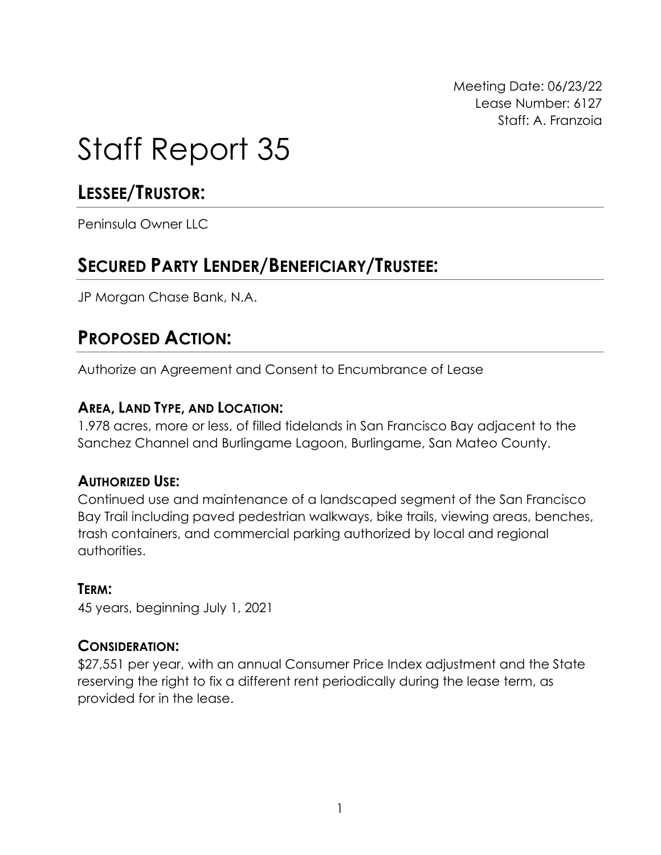Meeting Date: 06/23/22 Lease Number: 6127 Staff: A. Franzoia

# Staff Report 35

# **LESSEE/TRUSTOR:**

Peninsula Owner LLC

# **SECURED PARTY LENDER/BENEFICIARY/TRUSTEE:**

JP Morgan Chase Bank, N.A.

## **PROPOSED ACTION:**

Authorize an Agreement and Consent to Encumbrance of Lease

#### **AREA, LAND TYPE, AND LOCATION:**

1.978 acres, more or less, of filled tidelands in San Francisco Bay adjacent to the Sanchez Channel and Burlingame Lagoon, Burlingame, San Mateo County.

### **AUTHORIZED USE:**

Continued use and maintenance of a landscaped segment of the San Francisco Bay Trail including paved pedestrian walkways, bike trails, viewing areas, benches, trash containers, and commercial parking authorized by local and regional authorities.

#### **TERM:**

45 years, beginning July 1, 2021

#### **CONSIDERATION:**

\$27,551 per year, with an annual Consumer Price Index adjustment and the State reserving the right to fix a different rent periodically during the lease term, as provided for in the lease.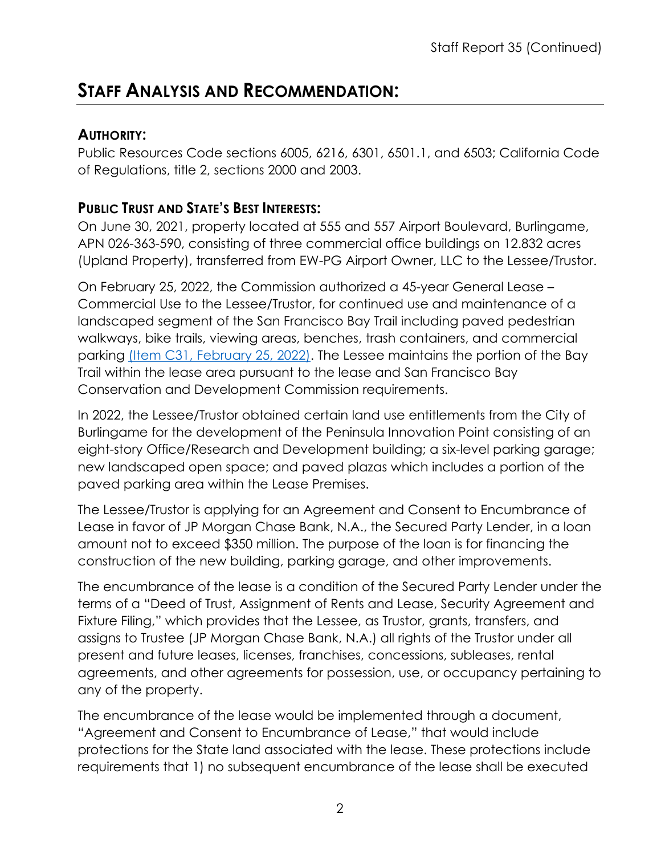## **STAFF ANALYSIS AND RECOMMENDATION:**

### **AUTHORITY:**

Public Resources Code sections 6005, 6216, 6301, 6501.1, and 6503; California Code of Regulations, title 2, sections 2000 and 2003.

## **PUBLIC TRUST AND STATE'S BEST INTERESTS:**

On June 30, 2021, property located at 555 and 557 Airport Boulevard, Burlingame, APN 026-363-590, consisting of three commercial office buildings on 12.832 acres (Upland Property), transferred from EW-PG Airport Owner, LLC to the Lessee/Trustor.

On February 25, 2022, the Commission authorized a 45-year General Lease – Commercial Use to the Lessee/Trustor, for continued use and maintenance of a landscaped segment of the San Francisco Bay Trail including paved pedestrian walkways, bike trails, viewing areas, benches, trash containers, and commercial parking (Item [C31, February 25, 2022\).](https://slcprdwordpressstorage.blob.core.windows.net/wordpressdata/2022/02/02-25-22_31.pdf) The Lessee maintains the portion of the Bay Trail within the lease area pursuant to the lease and San Francisco Bay Conservation and Development Commission requirements.

In 2022, the Lessee/Trustor obtained certain land use entitlements from the City of Burlingame for the development of the Peninsula Innovation Point consisting of an eight-story Office/Research and Development building; a six-level parking garage; new landscaped open space; and paved plazas which includes a portion of the paved parking area within the Lease Premises.

The Lessee/Trustor is applying for an Agreement and Consent to Encumbrance of Lease in favor of JP Morgan Chase Bank, N.A., the Secured Party Lender, in a loan amount not to exceed \$350 million. The purpose of the loan is for financing the construction of the new building, parking garage, and other improvements.

The encumbrance of the lease is a condition of the Secured Party Lender under the terms of a "Deed of Trust, Assignment of Rents and Lease, Security Agreement and Fixture Filing," which provides that the Lessee, as Trustor, grants, transfers, and assigns to Trustee (JP Morgan Chase Bank, N.A.) all rights of the Trustor under all present and future leases, licenses, franchises, concessions, subleases, rental agreements, and other agreements for possession, use, or occupancy pertaining to any of the property.

The encumbrance of the lease would be implemented through a document, "Agreement and Consent to Encumbrance of Lease," that would include protections for the State land associated with the lease. These protections include requirements that 1) no subsequent encumbrance of the lease shall be executed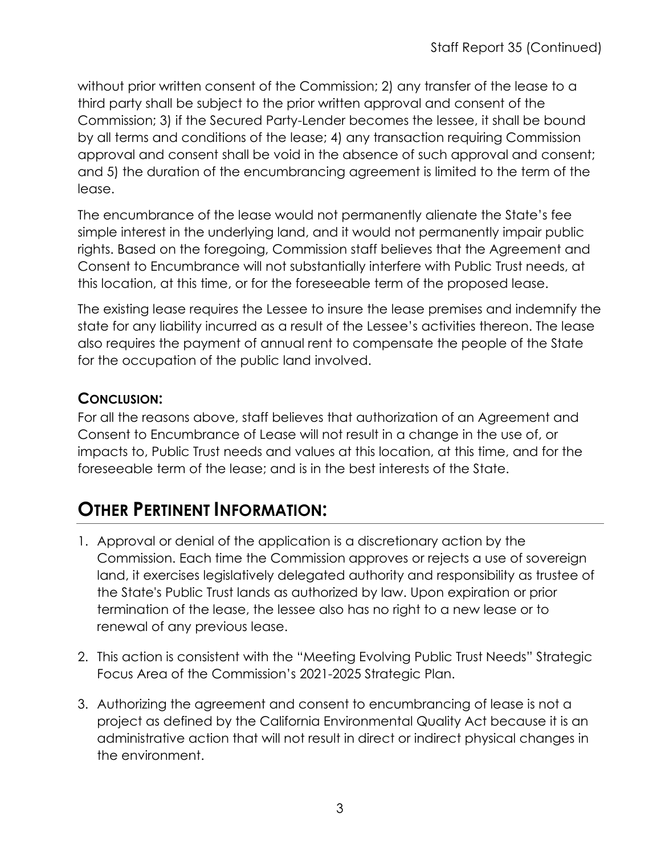without prior written consent of the Commission; 2) any transfer of the lease to a third party shall be subject to the prior written approval and consent of the Commission; 3) if the Secured Party-Lender becomes the lessee, it shall be bound by all terms and conditions of the lease; 4) any transaction requiring Commission approval and consent shall be void in the absence of such approval and consent; and 5) the duration of the encumbrancing agreement is limited to the term of the lease.

The encumbrance of the lease would not permanently alienate the State's fee simple interest in the underlying land, and it would not permanently impair public rights. Based on the foregoing, Commission staff believes that the Agreement and Consent to Encumbrance will not substantially interfere with Public Trust needs, at this location, at this time, or for the foreseeable term of the proposed lease.

The existing lease requires the Lessee to insure the lease premises and indemnify the state for any liability incurred as a result of the Lessee's activities thereon. The lease also requires the payment of annual rent to compensate the people of the State for the occupation of the public land involved.

## **CONCLUSION:**

For all the reasons above, staff believes that authorization of an Agreement and Consent to Encumbrance of Lease will not result in a change in the use of, or impacts to, Public Trust needs and values at this location, at this time, and for the foreseeable term of the lease; and is in the best interests of the State.

# **OTHER PERTINENT INFORMATION:**

- 1. Approval or denial of the application is a discretionary action by the Commission. Each time the Commission approves or rejects a use of sovereign land, it exercises legislatively delegated authority and responsibility as trustee of the State's Public Trust lands as authorized by law. Upon expiration or prior termination of the lease, the lessee also has no right to a new lease or to renewal of any previous lease.
- 2. This action is consistent with the "Meeting Evolving Public Trust Needs" Strategic Focus Area of the Commission's 2021-2025 Strategic Plan.
- 3. Authorizing the agreement and consent to encumbrancing of lease is not a project as defined by the California Environmental Quality Act because it is an administrative action that will not result in direct or indirect physical changes in the environment.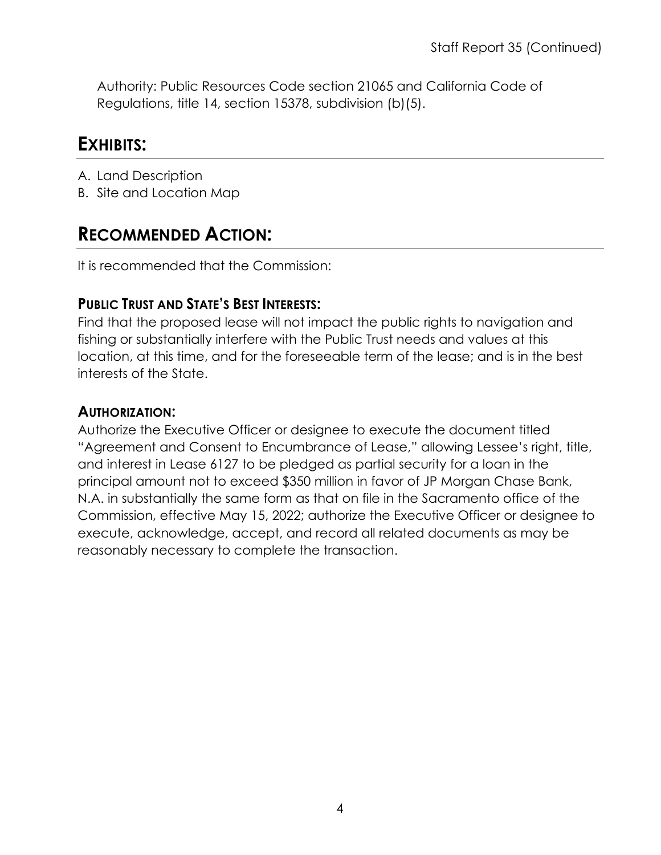Authority: Public Resources Code section 21065 and California Code of Regulations, title 14, section 15378, subdivision (b)(5).

## **EXHIBITS:**

- A. Land Description
- B. Site and Location Map

# **RECOMMENDED ACTION:**

It is recommended that the Commission:

## **PUBLIC TRUST AND STATE'S BEST INTERESTS:**

Find that the proposed lease will not impact the public rights to navigation and fishing or substantially interfere with the Public Trust needs and values at this location, at this time, and for the foreseeable term of the lease; and is in the best interests of the State.

#### **AUTHORIZATION:**

Authorize the Executive Officer or designee to execute the document titled "Agreement and Consent to Encumbrance of Lease," allowing Lessee's right, title, and interest in Lease 6127 to be pledged as partial security for a loan in the principal amount not to exceed \$350 million in favor of JP Morgan Chase Bank, N.A. in substantially the same form as that on file in the Sacramento office of the Commission, effective May 15, 2022; authorize the Executive Officer or designee to execute, acknowledge, accept, and record all related documents as may be reasonably necessary to complete the transaction.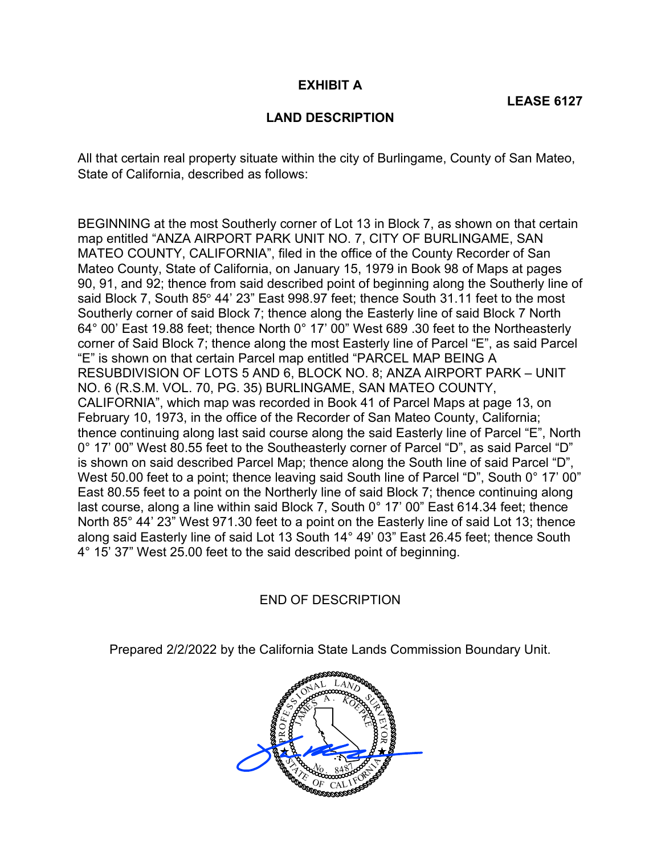#### **EXHIBIT A**

#### **LAND DESCRIPTION**

 All that certain real property situate within the city of Burlingame, County of San Mateo, State of California, described as follows:

 BEGINNING at the most Southerly corner of Lot 13 in Block 7, as shown on that certain map entitled "ANZA AIRPORT PARK UNIT NO. 7, CITY OF BURLINGAME, SAN MATEO COUNTY, CALIFORNIA", filed in the office of the County Recorder of San Mateo County, State of California, on January 15, 1979 in Book 98 of Maps at pages 90, 91, and 92; thence from said described point of beginning along the Southerly line of said Block 7, South 85° 44' 23" East 998.97 feet; thence South 31.11 feet to the most Southerly corner of said Block 7; thence along the Easterly line of said Block 7 North 64° 00' East 19.88 feet; thence North 0° 17' 00" West 689 .30 feet to the Northeasterly corner of Said Block 7; thence along the most Easterly line of Parcel "E", as said Parcel "E" is shown on that certain Parcel map entitled "PARCEL MAP BEING A RESUBDIVISION OF LOTS 5 AND 6, BLOCK NO. 8; ANZA AIRPORT PARK – UNIT NO. 6 (R.S.M. VOL. 70, PG. 35) BURLINGAME, SAN MATEO COUNTY, CALIFORNIA", which map was recorded in Book 41 of Parcel Maps at page 13, on February 10, 1973, in the office of the Recorder of San Mateo County, California; thence continuing along last said course along the said Easterly line of Parcel "E", North 0° 17' 00" West 80.55 feet to the Southeasterly corner of Parcel "D", as said Parcel "D" is shown on said described Parcel Map; thence along the South line of said Parcel "D", West 50.00 feet to a point; thence leaving said South line of Parcel "D", South 0° 17' 00" East 80.55 feet to a point on the Northerly line of said Block 7; thence continuing along last course, along a line within said Block 7, South 0° 17' 00" East 614.34 feet; thence North 85° 44' 23" West 971.30 feet to a point on the Easterly line of said Lot 13; thence along said Easterly line of said Lot 13 South 14° 49' 03" East 26.45 feet; thence South 4° 15' 37" West 25.00 feet to the said described point of beginning.

END OF DESCRIPTION

Prepared 2/2/2022 by the California State Lands Commission Boundary Unit.